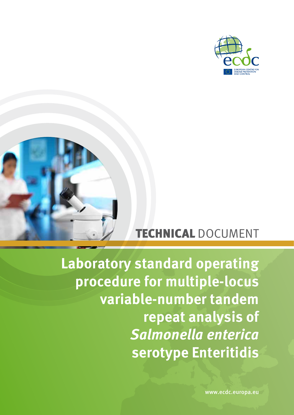



# TECHNICAL DOCUMENT

**Laboratory standard operating procedure for multiple-locus variable-number tandem repeat analysis of**  *Salmonella enterica* **serotype Enteritidis**

www.ecdc.europa.eu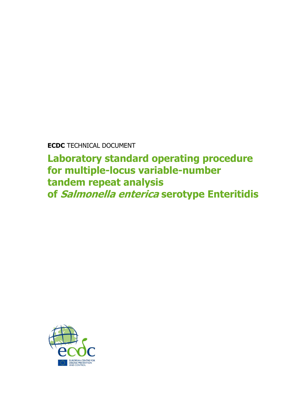**ECDC** TECHNICAL DOCUMENT

**Laboratory standard operating procedure for multiple-locus variable-number tandem repeat analysis of Salmonella enterica serotype Enteritidis**

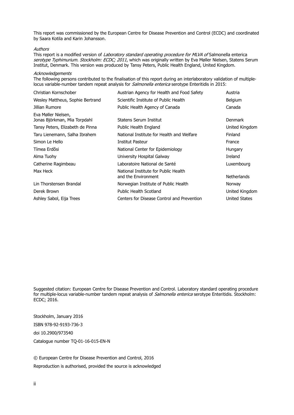This report was commissioned by the European Centre for Disease Prevention and Control (ECDC) and coordinated by Saara Kotila and Karin Johansson.

#### Authors

This report is a modified version of Laboratory standard operating procedure for MLVA of Salmonella enterica serotype Typhimurium. Stockholm: ECDC; 2011, which was originally written by Eva Møller Nielsen, Statens Serum Institut, Denmark. This version was produced by Tansy Peters, Public Health England, United Kingdom.

#### **Acknowledgements**

The following persons contributed to the finalisation of this report during an interlaboratory validation of multiplelocus variable-number tandem repeat analysis for *Salmonella enterica* serotype Enteritidis in 2015:

| Austrian Agency for Health and Food Safety                  | Austria              |
|-------------------------------------------------------------|----------------------|
| Scientific Institute of Public Health                       | Belgium              |
| Public Health Agency of Canada                              | Canada               |
| Statens Serum Institut                                      | <b>Denmark</b>       |
| Public Health England                                       | United Kingdom       |
| National Institute for Health and Welfare                   | Finland              |
| Institut Pasteur                                            | France               |
| National Center for Epidemiology                            | <b>Hungary</b>       |
| University Hospital Galway                                  | Ireland              |
| Laboratoire National de Santé                               | Luxembourg           |
| National Institute for Public Health<br>and the Environment | <b>Netherlands</b>   |
| Norwegian Institute of Public Health                        | Norway               |
| Public Health Scotland                                      | United Kingdom       |
| Centers for Disease Control and Prevention                  | <b>United States</b> |
|                                                             |                      |

Suggested citation: European Centre for Disease Prevention and Control. Laboratory standard operating procedure for multiple-locus variable-number tandem repeat analysis of Salmonella enterica serotype Enteritidis. Stockholm: ECDC; 2016.

Stockholm, January 2016 ISBN 978-92-9193-736-3 doi 10.2900/973540 Catalogue number TQ-01-16-015-EN-N

© European Centre for Disease Prevention and Control, 2016 Reproduction is authorised, provided the source is acknowledged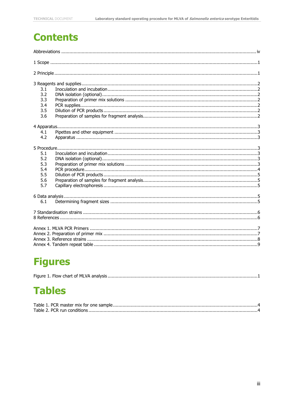## **Contents**

| 3.1<br>3.2<br>3.3<br>3.4<br>3.5<br>3.6        |
|-----------------------------------------------|
|                                               |
| 4.1<br>4.2                                    |
| 5.1<br>5.2<br>5.3<br>5.4<br>5.5<br>5.6<br>5.7 |
| 6.1                                           |
|                                               |
|                                               |

# **Figures**

|--|--|--|--|--|

## **Tables**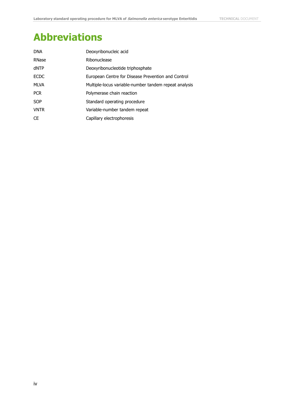# <span id="page-4-0"></span>**Abbreviations**

| <b>DNA</b>  | Deoxyribonucleic acid                                 |
|-------------|-------------------------------------------------------|
| RNase       | Ribonuclease                                          |
| dNTP        | Deoxyribonucleotide triphosphate                      |
| <b>ECDC</b> | European Centre for Disease Prevention and Control    |
| MLVA        | Multiple-locus variable-number tandem repeat analysis |
| <b>PCR</b>  | Polymerase chain reaction                             |
| <b>SOP</b>  | Standard operating procedure                          |
| <b>VNTR</b> | Variable-number tandem repeat                         |
| <b>CE</b>   | Capillary electrophoresis                             |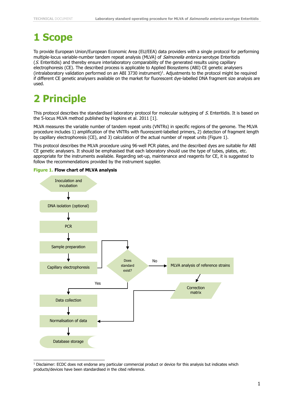## <span id="page-5-0"></span>**1 Scope**

To provide European Union/European Economic Area (EU/EEA) data providers with a single protocol for performing multiple-locus variable-number tandem repeat analysis (MLVA) of Salmonella enterica serotype Enteritidis (S. Enteritidis) and thereby ensure interlaboratory comparability of the generated results using capillary electrophoresis (CE). The described process is applicable to Applied Biosystems (ABI) CE genetic analysers  $($ intralaboratory validation performed on an ABI 3730 instrument $)$ <sup>1</sup>. Adjustments to the protocol might be required if different CE genetic analysers available on the market for fluorescent dye-labelled DNA fragment size analysis are used.

# <span id="page-5-1"></span>**2 Principle**

j

This protocol describes the standardised laboratory protocol for molecular subtyping of S. Enteritidis. It is based on the 5-locus MLVA method published by Hopkins et al. 2011 [\[1\]](#page-10-2).

MLVA measures the variable number of tandem repeat units (VNTRs) in specific regions of the genome. The MLVA procedure includes 1) amplification of the VNTRs with fluorescent-labelled primers, 2) detection of fragment length by capillary electrophoresis (CE), and 3) calculation of the actual number of repeat units (Figure 1).

This protocol describes the MLVA procedure using 96-well PCR plates, and the described dyes are suitable for ABI CE genetic analysers. It should be emphasised that each laboratory should use the type of tubes, plates, etc. appropriate for the instruments available. Regarding set-up, maintenance and reagents for CE, it is suggested to follow the recommendations provided by the instrument supplier.



<span id="page-5-2"></span>**Figure 1. Flow chart of MLVA analysis**

 $1$  Disclaimer: ECDC does not endorse any particular commercial product or device for this analysis but indicates which products/devices have been standardised in the cited reference.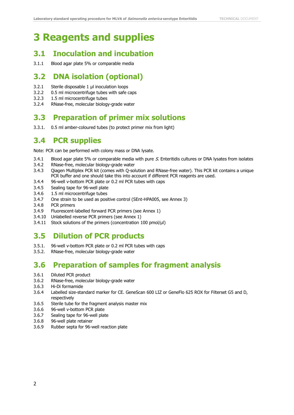## <span id="page-6-0"></span>**3 Reagents and supplies**

#### <span id="page-6-1"></span>**3.1 Inoculation and incubation**

3.1.1 Blood agar plate 5% or comparable media

#### <span id="page-6-2"></span>**3.2 DNA isolation (optional)**

- 3.2.1 Sterile disposable 1 µl inoculation loops
- 3.2.2 0.5 ml microcentrifuge tubes with safe caps
- 3.2.3 1.5 ml microcentrifuge tubes
- <span id="page-6-3"></span>3.2.4 RNase-free, molecular biology-grade water

#### **3.3 Preparation of primer mix solutions**

<span id="page-6-4"></span>3.3.1. 0.5 ml amber-coloured tubes (to protect primer mix from light)

#### **3.4 PCR supplies**

Note: PCR can be performed with colony mass or DNA lysate.

- 3.4.1 Blood agar plate 5% or comparable media with pure  $S$ . Enteritidis cultures or DNA lysates from isolates
- 3.4.2 RNase-free, molecular biology-grade water
- 3.4.3 Qiagen Multiplex PCR kit (comes with Q-solution and RNase-free water). This PCR kit contains a unique PCR buffer and one should take this into account if different PCR reagents are used.
- 3.4.4 96-well v-bottom PCR plate or 0.2 ml PCR tubes with caps
- 3.4.5 Sealing tape for 96-well plate
- 3.4.6 1.5 ml microcentrifuge tubes
- 3.4.7 One strain to be used as positive control (SEnt-HPA005, see Annex 3)
- 3.4.8 PCR primers
- 3.4.9 Fluorescent-labelled forward PCR primers (see Annex 1)
- 3.4.10 Unlabelled reverse PCR primers (see Annex 1)
- <span id="page-6-5"></span>3.4.11 Stock solutions of the primers (concentration 100 pmol/µl)

### **3.5 Dilution of PCR products**

- 3.5.1. 96-well v-bottom PCR plate or 0.2 ml PCR tubes with caps
- <span id="page-6-6"></span>3.5.2. RNase-free, molecular biology-grade water

#### **3.6 Preparation of samples for fragment analysis**

- 3.6.1 Diluted PCR product
- 3.6.2 RNase-free, molecular biology-grade water
- 3.6.3 Hi-Di formamide
- 3.6.4 Labelled size-standard marker for CE. GeneScan 600 LIZ or GeneFlo 625 ROX for Filterset G5 and D, respectively
- 3.6.5 Sterile tube for the fragment analysis master mix
- 3.6.6 96-well v-bottom PCR plate
- 3.6.7 Sealing tape for 96-well plate
- 3.6.8 96-well plate retainer
- 3.6.9 Rubber septa for 96-well reaction plate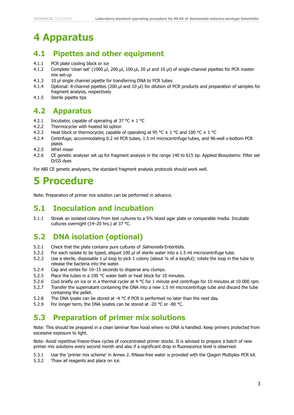## <span id="page-7-0"></span>**4 Apparatus**

### <span id="page-7-1"></span>**4.1 Pipettes and other equipment**

- 4.1.1 PCR plate cooling block or ice
- 4.1.2 Complete 'clean set' (1000 µl, 200 µl, 100 µl, 20 µl and 10 µl) of single-channel pipettes for PCR master mix set-up
- 4.1.3 10 µl single channel pipette for transferring DNA to PCR tubes
- 4.1.4 Optional: 8-channel pipettes (200 µl and 10 µl) for dilution of PCR products and preparation of samples for fragment analysis, respectively
- <span id="page-7-2"></span>4.1.5 Sterile pipette tips

#### **4.2 Apparatus**

- 4.2.1 Incubator, capable of operating at 37 °C  $\pm$  1 °C
- 4.2.2 Thermocycler with heated lid option
- 4.2.3 Heat block or thermocycler, capable of operating at 95 °C  $\pm$  1 °C and 100 °C  $\pm$  1 °C
- 4.2.4 Centrifuge, accommodating 0.2 ml PCR tubes, 1.5 ml microcentrifuge tubes, and 96-well v-bottom PCR plates
- 4.2.5 Whirl mixer
- 4.2.6 CE genetic analyser set up for fragment analysis in the range 140 to 615 bp. Applied Biosystems: Filter set D/G5 dyes

For ABI CE genetic analysers, the standard fragment analysis protocols should work well.

### <span id="page-7-3"></span>**5 Procedure**

Note: Preparation of primer mix solution can be performed in advance.

#### <span id="page-7-4"></span>**5.1 Inoculation and incubation**

5.1.1 Streak an isolated colony from test cultures to a 5% blood agar plate or comparable media. Incubate cultures overnight (14–20 hrs.) at 37 °C.

### <span id="page-7-5"></span>**5.2 DNA isolation (optional)**

- 5.2.1 Check that the plate contains pure cultures of *Salmonella* Enteritidis.
- 5.2.2 For each isolate to be typed, aliquot 100 µl of sterile water into a 1.5 ml microcentrifuge tube.
- 5.2.3 Use a sterile, disposable 1 µl loop to pick 1 colony (about ¼ of a loopful); rotate the loop in the tube to release the bacteria into the water.
- 5.2.4 Cap and vortex for 10–15 seconds to disperse any clumps.
- 5.2.5 Place the tubes in a 100 °C water bath or heat block for 10 minutes.
- 5.2.6 Cool briefly on ice or in a thermal cycler at 4 °C for 1 minute and centrifuge for 10 minutes at 10 000 rpm.
- 5.2.7 Transfer the supernatant containing the DNA into a new 1.5 ml microcentrifuge tube and discard the tube containing the pellet.
- 5.2.8 The DNA lysate can be stored at -4  $^{\circ}$ C if PCR is performed no later than the next day.
- <span id="page-7-6"></span>5.2.9 For longer term, the DNA lysates can be stored at -20 °C or -80 °C.

### **5.3 Preparation of primer mix solutions**

Note: This should be prepared in a clean laminar flow hood where no DNA is handled. Keep primers protected from excessive exposure to light.

Note: Avoid repetitive freeze-thaw cycles of concentrated primer stocks. It is advised to prepare a batch of new primer mix solutions every second month and also if a significant drop in fluorescence level is observed.

5.3.1 Use the 'primer mix scheme' in Annex 2. RNase-free water is provided with the Qiagen Multiplex PCR kit.

5.3.2 Thaw all reagents and place on ice.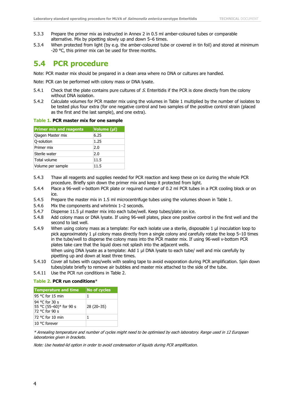- 5.3.3 Prepare the primer mix as instructed in Annex 2 in 0.5 ml amber-coloured tubes or comparable alternative. Mix by pipetting slowly up and down 5–6 times.
- 5.3.4 When protected from light (by e.g. the amber-coloured tube or covered in tin foil) and stored at minimum -20 °C, this primer mix can be used for three months.

### <span id="page-8-0"></span>**5.4 PCR procedure**

Note: PCR master mix should be prepared in a clean area where no DNA or cultures are handled.

Note: PCR can be performed with colony mass or DNA lysate.

- 5.4.1 Check that the plate contains pure cultures of  $S$ . Enteritidis if the PCR is done directly from the colony without DNA isolation.
- 5.4.2 Calculate volumes for PCR master mix using the volumes in Table 1 multiplied by the number of isolates to be tested plus four extra (for one negative control and two samples of the positive control strain (placed as the first and the last sample), and one extra).

#### <span id="page-8-1"></span>**Table 1. PCR master mix for one sample**

| <b>Primer mix and reagents</b> | Volume (µl) |
|--------------------------------|-------------|
| Qiagen Master mix              | 6.25        |
| Q-solution                     | 1.25        |
| Primer mix                     | 2.0         |
| Sterile water                  | 2.0         |
| Total volume                   | 11.5        |
| Volume per sample              | 11.5        |

- 5.4.3 Thaw all reagents and supplies needed for PCR reaction and keep these on ice during the whole PCR procedure. Briefly spin down the primer mix and keep it protected from light.
- 5.4.4 Place a 96-well v-bottom PCR plate or required number of 0.2 ml PCR tubes in a PCR cooling block or on ice.
- 5.4.5 Prepare the master mix in 1.5 ml microcentrifuge tubes using the volumes shown in Table 1.
- 5.4.6 Mix the components and whirlmix 1–2 seconds.
- 5.4.7 Dispense 11.5 µl master mix into each tube/well. Keep tubes/plate on ice.
- 5.4.8 Add colony mass or DNA lysate. If using 96-well plates, place one positive control in the first well and the second to last well.
- 5.4.9 When using colony mass as a template: For each isolate use a sterile, disposable 1 µl inoculation loop to pick approximately 1 µl colony mass directly from a single colony and carefully rotate the loop 5–10 times in the tube/well to disperse the colony mass into the PCR master mix. If using 96-well v-bottom PCR plates take care that the liquid does not splash into the adjacent wells. When using DNA lysate as a template: Add 1 µl DNA lysate to each tube/ well and mix carefully by pipetting up and down at least three times.
- 5.4.10 Cover all tubes with caps/wells with sealing tape to avoid evaporation during PCR amplification. Spin down tubes/plate briefly to remove air bubbles and master mix attached to the side of the tube.
- 5.4.11 Use the PCR run conditions in Table 2.

#### <span id="page-8-2"></span>**Table 2. PCR run conditions**\*

| <b>Temperature and time</b>                                 | <b>No of cycles</b> |
|-------------------------------------------------------------|---------------------|
| 95 °C for 15 min                                            | 1                   |
| 94 °C for 30 s<br>55 °C (55-60)* for 90 s<br>72 °C for 90 s | 28 (20 - 35)        |
| 72 °C for 10 min                                            | 1                   |
| 10 °C forever                                               |                     |

\* Annealing temperature and number of cycles might need to be optimised by each laboratory. Range used in 12 European laboratories given in brackets.

Note: Use heated-lid option in order to avoid condensation of liquids during PCR amplification.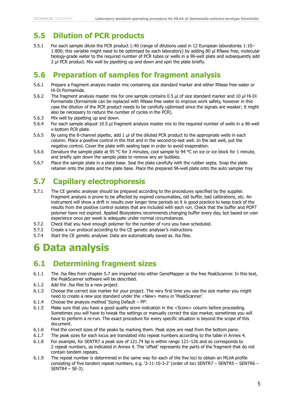### <span id="page-9-0"></span>**5.5 Dilution of PCR products**

5.5.1 For each sample dilute the PCR product 1:40 (range of dilutions used in 12 European laboratories 1:10– 1:800; this variable might need to be optimised by each laboratory) by adding 80 µl RNase free, molecular biology-grade water to the required number of PCR tubes or wells in a 96-well plate and subsequently add 2 µl PCR product. Mix well by pipetting up and down and spin the plate briefly.

### <span id="page-9-1"></span>**5.6 Preparation of samples for fragment analysis**

- 5.6.1 Prepare a fragment analysis master mix containing size standard marker and either RNase free water or Hi-Di Formamide.
- 5.6.2 The fragment analysis master mix for one sample contains 0.5 µl of size standard marker and 10 µl Hi-Di Formamide (formamide can be replaced with RNase free water to improve work safety, however in this case the dilution of the PCR product needs to be carefully optimised since the signals are weaker; it might also be necessary to reduce the number of cycles in the PCR).
- 5.6.3 Mix well by pipetting up and down.
- 5.6.4 For each sample aliquot 10.5 µl fragment analysis master mix to the required number of wells in a 96-well v-bottom PCR plate.
- 5.6.5 By using the 8-channel pipette, add 1 µl of the diluted PCR product to the appropriate wells in each column. Place a positive control in the first and in the second-to-last well. In the last well, put the negative control. Cover the plate with sealing tape in order to avoid evaporation.
- 5.6.6 Denature the sample plate at 95 °C for 3 minutes, cool sample to 94 °C on ice or ice block for 1 minute, and briefly spin down the sample plate to remove any air bubbles.
- 5.6.7 Place the sample plate in a plate base. Seal the plate carefully with the rubber septa. Snap the plate retainer onto the plate and the plate base. Place the prepared 96-well plate onto the auto sampler tray

### <span id="page-9-2"></span>**5.7 Capillary electrophoresis**

- 5.7.1 The CE genetic analyser should be prepared according to the procedures specified by the supplier. Fragment analysis is prone to be affected by expired consumables, old buffer, bad calibrations, etc. An instrument will show a drift in results over longer time periods so it is good practice to keep track of the results from the positive control isolates that are included with each run. Check that the buffer and POP7 polymer have not expired. Applied Biosystems recommends changing buffer every day, but based on user experience once per week is adequate under normal circumstances.
- 5.7.2 Check that you have enough polymer for the number of runs you have scheduled.
- 5.7.3 Create a run protocol according to the CE genetic analyser's instructions
- 5.7.4 Start the CE genetic analyser. Data are automatically saved as .fsa files.

## <span id="page-9-3"></span>**6 Data analysis**

### <span id="page-9-4"></span>**6.1 Determining fragment sizes**

- 6.1.1 The .fsa files from chapter 5.7 are imported into either GeneMapper or the free PeakScanner. In this text, the PeakScanner software will be described.
- 6.1.2 Add the .fsa files to a new project.
- 6.1.3 Choose the correct size marker for your project. The very first time you use the size marker you might need to create a new size standard under the <New> menu in 'PeakScanner'.
- 6.1.4 Choose the analysis method 'Sizing Default PP'.
- 6.1.5 Make sure that you have a good quality score indication in the <Score> column before proceeding. Sometimes you will have to tweak the settings or manually correct the size marker, sometimes you will have to perform a re-run. The exact procedure for every specific situation is beyond the scope of this document.
- 6.1.6 Find the correct sizes of the peaks by marking them. Peak sizes are read from the bottom pane.
- 6.1.7 The peak sizes for each locus are translated into repeat numbers according to the table in Annex 4.
- 6.1.8 For example, for SENTR7 a peak size of 121.74 bp is within range 121–126 and so corresponds to 2 repeat numbers, as indicated in Annex 4. The 'offset' represents the parts of the fragment that do not contain tandem repeats.
- 6.1.9 The repeat number is determined in the same way for each of the five loci to obtain an MLVA profile consisting of five tandem repeat numbers, e.g. '2-11-10-3-2' (order of loci SENTR7 – SENTR5 – SENTR6 – SENTR4 – SE-3).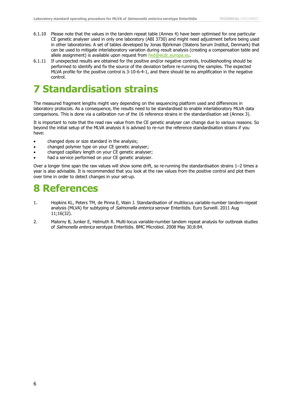- 6.1.10 Please note that the values in the tandem repeat table (Annex 4) have been optimised for one particular CE genetic analyser used in only one laboratory (ABI 3730) and might need adjustment before being used in other laboratories. A set of tables developed by Jonas Björkman (Statens Serum Institut, Denmark) that can be used to mitigate interlaboratory variation during result analysis (creating a compensation table and allele assignment) is available upon request from [fwd@ecdc.europa.eu.](mailto:fwd@ecdc.europa.eu)
- 6.1.11 If unexpected results are obtained for the positive and/or negative controls, troubleshooting should be performed to identify and fix the source of the deviation before re-running the samples. The expected MLVA profile for the positive control is 3-10-6-4-1, and there should be no amplification in the negative control.

### <span id="page-10-0"></span>**7 Standardisation strains**

The measured fragment lengths might vary depending on the sequencing platform used and differences in laboratory protocols. As a consequence, the results need to be standardised to enable interlaboratory MLVA data comparisons. This is done via a calibration run of the 16 reference strains in the standardisation set (Annex 3).

It is important to note that the read raw value from the CE genetic analyser can change due to various reasons. So beyond the initial setup of the MLVA analysis it is advised to re-run the reference standardisation strains if you have:

- changed dyes or size standard in the analysis;
- changed polymer type on your CE genetic analyser;
- changed capillary length on your CE genetic analyser;
- had a service performed on your CE genetic analyser.

Over a longer time span the raw values will show some drift, so re-running the standardisation strains 1–2 times a year is also advisable. It is recommended that you look at the raw values from the positive control and plot them over time in order to detect changes in your set-up.

### <span id="page-10-1"></span>**8 References**

- <span id="page-10-2"></span>1. Hopkins KL, Peters TM, de Pinna E, Wain J. Standardisation of multilocus variable-number tandem-repeat analysis (MLVA) for subtyping of *Salmonella enterica* serovar Enteritidis. Euro Surveill. 2011 Aug 11;16(32).
- <span id="page-10-3"></span>2. Malorny B, Junker E, Helmuth R. Multi-locus variable-number tandem repeat analysis for outbreak studies of Salmonella enterica serotype Enteritidis. BMC Microbiol. 2008 May 30;8:84.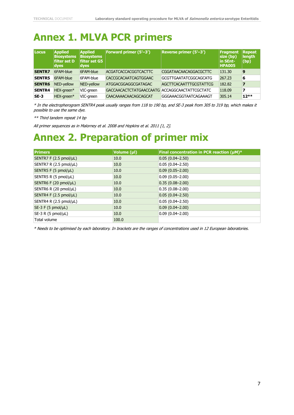## <span id="page-11-0"></span>**Annex 1. MLVA PCR primers**

| <b>Locus</b>  | <b>Applied</b><br><b>Biosystems</b><br>filter set D<br>dyes | <b>Applied</b><br><b>Biosystems</b><br>filter set G5<br>dyes | <b>Forward primer (5'-3')</b>                 | Reverse primer (5'-3')        | Fragment<br>$\vert$ size (bp)<br>in SEnt-<br><b>HPA005</b> | Repeat<br>length<br>$ $ (bp) |
|---------------|-------------------------------------------------------------|--------------------------------------------------------------|-----------------------------------------------|-------------------------------|------------------------------------------------------------|------------------------------|
| <b>SENTR7</b> | 6FAM-blue                                                   | 6FAM-blue                                                    | <b>ACGATCACCACGGTCACTTC</b>                   | <b>CGGATAACAACAGGACGCTTC</b>  | 131.30                                                     | 9                            |
| <b>SENTR5</b> | 6FAM-blue                                                   | 6FAM-blue                                                    | <b>CACCGCACAATCAGTGGAAC</b>                   | <b>GCGTTGAATATCGGCAGCATG</b>  | 267.23                                                     | 6                            |
| <b>SENTR6</b> | NED-yellow                                                  | NED-yellow                                                   | <b>ATGGACGGAGGCGATAGAC</b>                    | <b>AGCTTCACAATTTGCGTATTCG</b> | 182.82                                                     |                              |
| <b>SENTR4</b> | HEX-green*                                                  | VIC-green                                                    | GACCAACACTCTATGAACCAATG ACCAGGCAACTATTCGCTATC |                               | 118.09                                                     |                              |
| $SE-3$        | HEX-areen*                                                  | VIC-areen                                                    | <b>CAACAAAACAACAGCAGCAT</b>                   | GGGAAACGGTAATCAGAAAGT         | 305.14                                                     | $12**$                       |

\* In the electropherogram SENTR4 peak usually ranges from 118 to 190 bp, and SE-3 peak from 305 to 319 bp, which makes it possible to use the same dye.

\*\* Third tandem repeat 14 bp

All primer sequences as in Malorney et al. 2008 and Hopkins et al. 2011 [\[1,](#page-10-2) [2\]](#page-10-3).

### <span id="page-11-1"></span>**Annex 2. Preparation of primer mix**

| <b>Primers</b>         | Volume (µl) | Final concentration in PCR reaction (µM)* |
|------------------------|-------------|-------------------------------------------|
| SENTR7 F (2.5 pmol/µL) | 10.0        | $0.05(0.04 - 2.50)$                       |
| SENTR7 R (2.5 pmol/µL) | 10.0        | $0.05(0.04 - 2.50)$                       |
| SENTR5 F (5 pmol/µL)   | 10.0        | $0.09(0.05 - 2.00)$                       |
| SENTR5 R (5 pmol/µL)   | 10.0        | $0.09(0.05 - 2.00)$                       |
| SENTR6 F (20 pmol/µL)  | 10.0        | $0.35(0.08 - 2.00)$                       |
| SENTR6 R (20 pmol/µL)  | 10.0        | $0.35(0.08 - 2.00)$                       |
| SENTR4 F (2.5 pmol/µL) | 10.0        | $0.05(0.04 - 2.50)$                       |
| SENTR4 R (2.5 pmol/µL) | 10.0        | $0.05(0.04 - 2.50)$                       |
| $SE-3 F (5 pmol/µL)$   | 10.0        | $0.09(0.04 - 2.00)$                       |
| $SE-3 R (5 pmol/\muL)$ | 10.0        | $0.09(0.04 - 2.00)$                       |
| Total volume           | 100.0       |                                           |

\* Needs to be optimised by each laboratory. In brackets are the ranges of concentrations used in 12 European laboratories.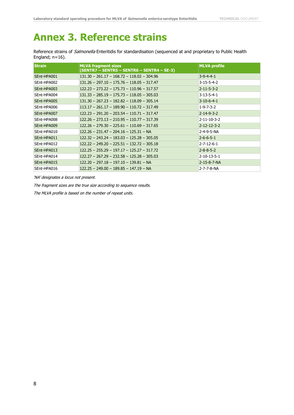## <span id="page-12-0"></span>**Annex 3. Reference strains**

Reference strains of *Salmonella* Enteritidis for standardisation (sequenced at and proprietary to Public Health England; n=16).

| <b>Strain</b> | <b>MLVA fragment sizes</b><br>(SENTR7 – SENTR5 – SENTR6 – SENTR4 – SE-3) | <b>MLVA profile</b>   |
|---------------|--------------------------------------------------------------------------|-----------------------|
| SEnt-HPA001   | $131.30 - 261.17 - 168.72 - 118.02 - 304.96$                             | $3-9-4-4-1$           |
| SEnt-HPA002   | $131.26 - 297.10 - 175.76 - 118.05 - 317.47$                             | $3 - 15 - 5 - 4 - 2$  |
| SEnt-HPA003   | $122.23 - 273.22 - 175.73 - 110.96 - 317.57$                             | $2 - 11 - 5 - 3 - 2$  |
| SEnt-HPA004   | $131.33 - 285.19 - 175.73 - 118.05 - 305.03$                             | $3 - 13 - 5 - 4 - 1$  |
| SEnt-HPA005   | $131.30 - 267.23 - 182.82 - 118.09 - 305.14$                             | $3-10-6-4-1$          |
| SEnt-HPA006   | $113.17 - 261.17 - 189.90 - 110.72 - 317.49$                             | $1 - 9 - 7 - 3 - 2$   |
| SEnt-HPA007   | $122.23 - 291.20 - 203.54 - 110.71 - 317.47$                             | $2 - 14 - 9 - 3 - 2$  |
| SEnt-HPA008   | $122.26 - 273.13 - 210.95 - 110.77 - 317.39$                             | $2 - 11 - 10 - 3 - 2$ |
| SEnt-HPA009   | $122.26 - 279.30 - 225.61 - 110.69 - 317.65$                             | $2 - 12 - 12 - 3 - 2$ |
| SEnt-HPA010   | $122.26 - 231.47 - 204.16 - 125.31 - NA$                                 | 2-4-9-5-NA            |
| SEnt-HPA011   | $122.32 - 243.24 - 183.03 - 125.28 - 305.05$                             | $2 - 6 - 6 - 5 - 1$   |
| SEnt-HPA012   | $122.22 - 249.20 - 225.51 - 132.72 - 305.18$                             | $2 - 7 - 12 - 6 - 1$  |
| SEnt-HPA013   | $122.25 - 255.29 - 197.17 - 125.27 - 317.72$                             | $2 - 8 - 8 - 5 - 2$   |
| SEnt-HPA014   | $122.27 - 267.29 - 232.58 - 125.28 - 305.03$                             | $2 - 10 - 13 - 5 - 1$ |
| SEnt-HPA015   | $122.20 - 297.18 - 197.10 - 139.81 - NA$                                 | 2-15-8-7-NA           |
| SEnt-HPA016   | $122.25 - 249.00 - 189.85 - 147.19 - NA$                                 | 2-7-7-8-NA            |

'NA' designates a locus not present.

The fragment sizes are the true size according to sequence results.

The MLVA profile is based on the number of repeat units.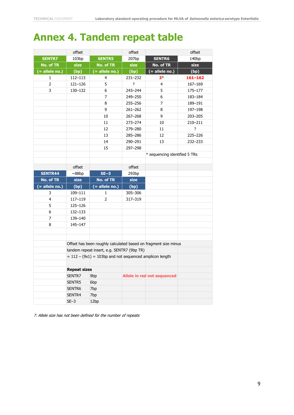# <span id="page-13-0"></span>**Annex 4. Tandem repeat table**

|                    | offset              |                                                           | offset      |                                                                 | offset       |
|--------------------|---------------------|-----------------------------------------------------------|-------------|-----------------------------------------------------------------|--------------|
| <b>SENTR7</b>      | 103bp               | <b>SENTR5</b>                                             | 207bp       | <b>SENTR6</b>                                                   | 140bp        |
| <b>No. of TR</b>   | size                | <b>No. of TR</b>                                          | size        | No. of TR                                                       | size         |
| $($ = allele no.)  | (bp)                | $($ = allele no.)                                         | (bp)        | $( = $ allele no.)                                              | (bp)         |
| 1                  | 112-113             | 4                                                         | $231 - 232$ | $3*$                                                            | $161 - 162$  |
| $\overline{2}$     | 121-126             | 5                                                         | ?           | 4                                                               | 167-169      |
| 3                  | 130-132             | 6                                                         | 243-244     | 5                                                               | 175-177      |
|                    |                     | 7                                                         | 249-250     | 6                                                               | 183-184      |
|                    |                     | 8                                                         | 255-256     | $\overline{7}$                                                  | 189-191      |
|                    |                     | 9                                                         | $261 - 262$ | 8                                                               | 197-198      |
|                    |                     | 10                                                        | $267 - 268$ | 9                                                               | 203-205      |
|                    |                     | 11                                                        | $273 - 274$ | 10                                                              | 210-211      |
|                    |                     | 12                                                        | 279-280     | 11                                                              | <sup>2</sup> |
|                    |                     | 13                                                        | 285-286     | 12                                                              | 225-226      |
|                    |                     | 14                                                        | 290-291     | 13                                                              | $232 - 233$  |
|                    |                     | 15                                                        | 297-298     |                                                                 |              |
|                    |                     |                                                           |             | * sequencing identified 5 TRs                                   |              |
|                    |                     |                                                           |             |                                                                 |              |
|                    | offset              |                                                           | offset      |                                                                 |              |
| <b>SENTR44</b>     | ~88bp               | $SE-3$                                                    | 293bp       |                                                                 |              |
|                    |                     |                                                           |             |                                                                 |              |
| <b>No. of TR</b>   | size                | <b>No. of TR</b>                                          | size        |                                                                 |              |
| $( = $ allele no.) | (bp)                | $($ = allele no.)                                         | (bp)        |                                                                 |              |
| 3                  | 109-111             | 1                                                         | 305-306     |                                                                 |              |
| 4                  | 117-119             | $\overline{2}$                                            | 317-319     |                                                                 |              |
| 5                  | 125-126             |                                                           |             |                                                                 |              |
| 6                  | 132-133             |                                                           |             |                                                                 |              |
| 7                  | 139-140             |                                                           |             |                                                                 |              |
| 8                  | 145-147             |                                                           |             |                                                                 |              |
|                    |                     |                                                           |             |                                                                 |              |
|                    |                     |                                                           |             |                                                                 |              |
|                    |                     |                                                           |             | Offset has been roughly calculated based on fragment size minus |              |
|                    |                     | tandem repeat insert, e.g. SENTR7 (9bp TR)                |             |                                                                 |              |
|                    |                     | $= 112 - (9x1) = 103bp$ and not sequenced amplicon length |             |                                                                 |              |
|                    |                     |                                                           |             |                                                                 |              |
|                    | <b>Repeat sizes</b> |                                                           |             |                                                                 |              |
|                    | SENTR7              | 9bp                                                       |             | Allele in red not sequenced                                     |              |
|                    | SENTR5              | 6 <sub>bp</sub>                                           |             |                                                                 |              |
|                    | SENTR6              | 7bp                                                       |             |                                                                 |              |
|                    | SENTR4<br>$SE-3$    | 7bp<br>12bp                                               |             |                                                                 |              |

?: Allele size has not been defined for the number of repeats